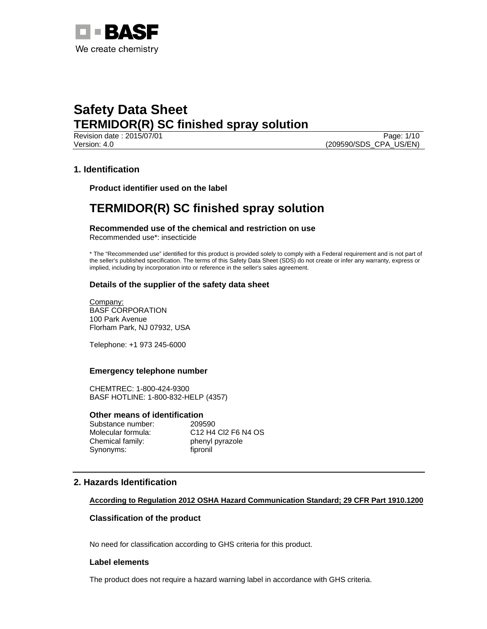

Revision date : 2015/07/01 Page: 1/10 Version: 4.0 (209590/SDS\_CPA\_US/EN)

## **1. Identification**

**Product identifier used on the label** 

# **TERMIDOR(R) SC finished spray solution**

**Recommended use of the chemical and restriction on use**  Recommended use\*: insecticide

\* The "Recommended use" identified for this product is provided solely to comply with a Federal requirement and is not part of the seller's published specification. The terms of this Safety Data Sheet (SDS) do not create or infer any warranty, express or implied, including by incorporation into or reference in the seller's sales agreement.

## **Details of the supplier of the safety data sheet**

Company: BASF CORPORATION 100 Park Avenue Florham Park, NJ 07932, USA

Telephone: +1 973 245-6000

### **Emergency telephone number**

CHEMTREC: 1-800-424-9300 BASF HOTLINE: 1-800-832-HELP (4357)

# **Other means of identification**<br>Substance number: 209590

Substance number: Chemical family: phenyl pyrazole Synonyms: fipronil

Molecular formula: C12 H4 Cl2 F6 N4 OS

## **2. Hazards Identification**

### **According to Regulation 2012 OSHA Hazard Communication Standard; 29 CFR Part 1910.1200**

### **Classification of the product**

No need for classification according to GHS criteria for this product.

#### **Label elements**

The product does not require a hazard warning label in accordance with GHS criteria.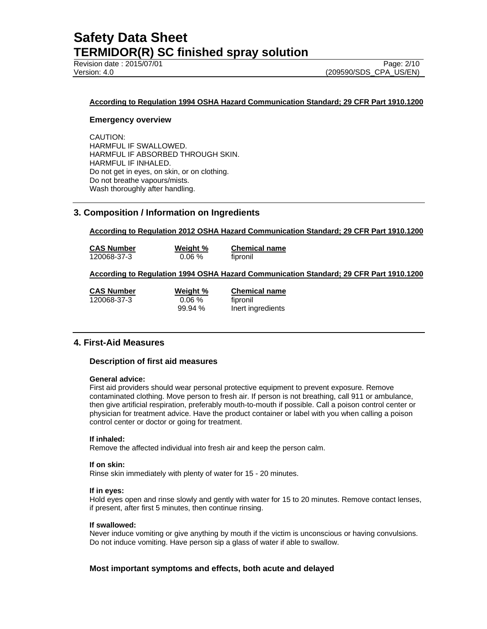Revision date : 2015/07/01 Page: 2/10

#### **According to Regulation 1994 OSHA Hazard Communication Standard; 29 CFR Part 1910.1200**

#### **Emergency overview**

CAUTION: HARMFUL IF SWALLOWED. HARMFUL IF ABSORBED THROUGH SKIN. HARMFUL IF INHALED. Do not get in eyes, on skin, or on clothing. Do not breathe vapours/mists. Wash thoroughly after handling.

## **3. Composition / Information on Ingredients**

**According to Regulation 2012 OSHA Hazard Communication Standard; 29 CFR Part 1910.1200** 

**CAS Number Weight % Chemical name** 120068-37-3 0.06 % fipronil

#### **According to Regulation 1994 OSHA Hazard Communication Standard; 29 CFR Part 1910.1200**

120068-37-3 0.06 % fipronil

**CAS Number Weight % Chemical name** 99.94 % Inert ingredients

### **4. First-Aid Measures**

#### **Description of first aid measures**

#### **General advice:**

First aid providers should wear personal protective equipment to prevent exposure. Remove contaminated clothing. Move person to fresh air. If person is not breathing, call 911 or ambulance, then give artificial respiration, preferably mouth-to-mouth if possible. Call a poison control center or physician for treatment advice. Have the product container or label with you when calling a poison control center or doctor or going for treatment.

#### **If inhaled:**

Remove the affected individual into fresh air and keep the person calm.

#### **If on skin:**

Rinse skin immediately with plenty of water for 15 - 20 minutes.

#### **If in eyes:**

Hold eyes open and rinse slowly and gently with water for 15 to 20 minutes. Remove contact lenses, if present, after first 5 minutes, then continue rinsing.

#### **If swallowed:**

Never induce vomiting or give anything by mouth if the victim is unconscious or having convulsions. Do not induce vomiting. Have person sip a glass of water if able to swallow.

### **Most important symptoms and effects, both acute and delayed**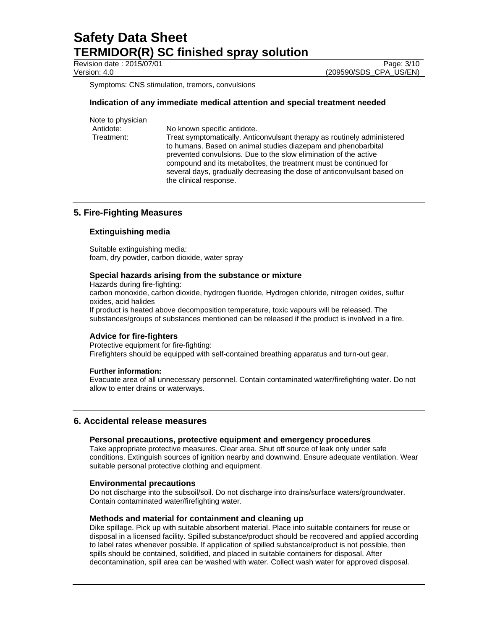Revision date : 2015/07/01 **Page: 3/10** Page: 3/10

Version: 4.0 (209590/SDS\_CPA\_US/EN)

Symptoms: CNS stimulation, tremors, convulsions

#### **Indication of any immediate medical attention and special treatment needed**

| Note to physician |                                                                                                                                                                                                                                                                                                                                                                                       |
|-------------------|---------------------------------------------------------------------------------------------------------------------------------------------------------------------------------------------------------------------------------------------------------------------------------------------------------------------------------------------------------------------------------------|
| Antidote:         | No known specific antidote.                                                                                                                                                                                                                                                                                                                                                           |
| Treatment:        | Treat symptomatically. Anticonvulsant therapy as routinely administered<br>to humans. Based on animal studies diazepam and phenobarbital<br>prevented convulsions. Due to the slow elimination of the active<br>compound and its metabolites, the treatment must be continued for<br>several days, gradually decreasing the dose of anticonvulsant based on<br>the clinical response. |

## **5. Fire-Fighting Measures**

### **Extinguishing media**

Suitable extinguishing media: foam, dry powder, carbon dioxide, water spray

#### **Special hazards arising from the substance or mixture**

Hazards during fire-fighting: carbon monoxide, carbon dioxide, hydrogen fluoride, Hydrogen chloride, nitrogen oxides, sulfur oxides, acid halides If product is heated above decomposition temperature, toxic vapours will be released. The substances/groups of substances mentioned can be released if the product is involved in a fire.

#### **Advice for fire-fighters**

Protective equipment for fire-fighting: Firefighters should be equipped with self-contained breathing apparatus and turn-out gear.

#### **Further information:**

Evacuate area of all unnecessary personnel. Contain contaminated water/firefighting water. Do not allow to enter drains or waterways.

#### **6. Accidental release measures**

#### **Personal precautions, protective equipment and emergency procedures**

Take appropriate protective measures. Clear area. Shut off source of leak only under safe conditions. Extinguish sources of ignition nearby and downwind. Ensure adequate ventilation. Wear suitable personal protective clothing and equipment.

#### **Environmental precautions**

Do not discharge into the subsoil/soil. Do not discharge into drains/surface waters/groundwater. Contain contaminated water/firefighting water.

#### **Methods and material for containment and cleaning up**

Dike spillage. Pick up with suitable absorbent material. Place into suitable containers for reuse or disposal in a licensed facility. Spilled substance/product should be recovered and applied according to label rates whenever possible. If application of spilled substance/product is not possible, then spills should be contained, solidified, and placed in suitable containers for disposal. After decontamination, spill area can be washed with water. Collect wash water for approved disposal.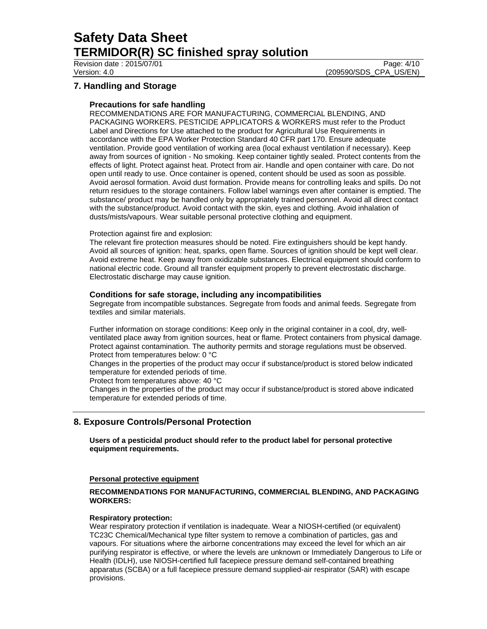Revision date : 2015/07/01 Page: 4/10

Version: 4.0 (209590/SDS\_CPA\_US/EN)

## **7. Handling and Storage**

### **Precautions for safe handling**

RECOMMENDATIONS ARE FOR MANUFACTURING, COMMERCIAL BLENDING, AND PACKAGING WORKERS. PESTICIDE APPLICATORS & WORKERS must refer to the Product Label and Directions for Use attached to the product for Agricultural Use Requirements in accordance with the EPA Worker Protection Standard 40 CFR part 170. Ensure adequate ventilation. Provide good ventilation of working area (local exhaust ventilation if necessary). Keep away from sources of ignition - No smoking. Keep container tightly sealed. Protect contents from the effects of light. Protect against heat. Protect from air. Handle and open container with care. Do not open until ready to use. Once container is opened, content should be used as soon as possible. Avoid aerosol formation. Avoid dust formation. Provide means for controlling leaks and spills. Do not return residues to the storage containers. Follow label warnings even after container is emptied. The substance/ product may be handled only by appropriately trained personnel. Avoid all direct contact with the substance/product. Avoid contact with the skin, eyes and clothing. Avoid inhalation of dusts/mists/vapours. Wear suitable personal protective clothing and equipment.

#### Protection against fire and explosion:

The relevant fire protection measures should be noted. Fire extinguishers should be kept handy. Avoid all sources of ignition: heat, sparks, open flame. Sources of ignition should be kept well clear. Avoid extreme heat. Keep away from oxidizable substances. Electrical equipment should conform to national electric code. Ground all transfer equipment properly to prevent electrostatic discharge. Electrostatic discharge may cause ignition.

#### **Conditions for safe storage, including any incompatibilities**

Segregate from incompatible substances. Segregate from foods and animal feeds. Segregate from textiles and similar materials.

Further information on storage conditions: Keep only in the original container in a cool, dry, wellventilated place away from ignition sources, heat or flame. Protect containers from physical damage. Protect against contamination. The authority permits and storage regulations must be observed. Protect from temperatures below: 0 °C

Changes in the properties of the product may occur if substance/product is stored below indicated temperature for extended periods of time.

Protect from temperatures above: 40 °C

Changes in the properties of the product may occur if substance/product is stored above indicated temperature for extended periods of time.

## **8. Exposure Controls/Personal Protection**

**Users of a pesticidal product should refer to the product label for personal protective equipment requirements.** 

#### **Personal protective equipment**

#### **RECOMMENDATIONS FOR MANUFACTURING, COMMERCIAL BLENDING, AND PACKAGING WORKERS:**

### **Respiratory protection:**

Wear respiratory protection if ventilation is inadequate. Wear a NIOSH-certified (or equivalent) TC23C Chemical/Mechanical type filter system to remove a combination of particles, gas and vapours. For situations where the airborne concentrations may exceed the level for which an air purifying respirator is effective, or where the levels are unknown or Immediately Dangerous to Life or Health (IDLH), use NIOSH-certified full facepiece pressure demand self-contained breathing apparatus (SCBA) or a full facepiece pressure demand supplied-air respirator (SAR) with escape provisions.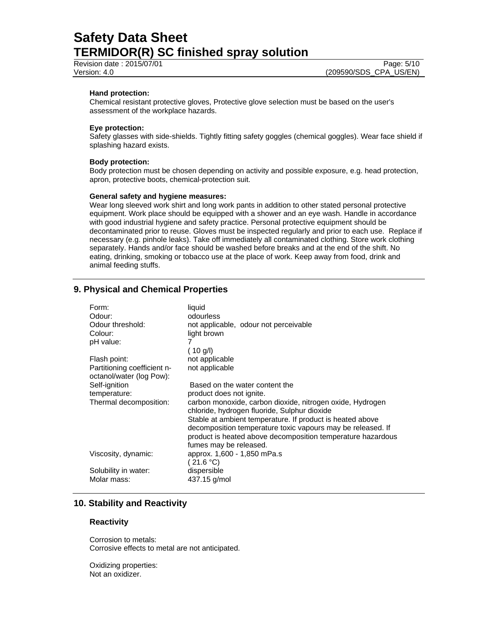Revision date : 2015/07/01 Page: 5/10

#### **Hand protection:**

Chemical resistant protective gloves, Protective glove selection must be based on the user's assessment of the workplace hazards.

#### **Eye protection:**

Safety glasses with side-shields. Tightly fitting safety goggles (chemical goggles). Wear face shield if splashing hazard exists.

#### **Body protection:**

Body protection must be chosen depending on activity and possible exposure, e.g. head protection, apron, protective boots, chemical-protection suit.

#### **General safety and hygiene measures:**

Wear long sleeved work shirt and long work pants in addition to other stated personal protective equipment. Work place should be equipped with a shower and an eye wash. Handle in accordance with good industrial hygiene and safety practice. Personal protective equipment should be decontaminated prior to reuse. Gloves must be inspected regularly and prior to each use. Replace if necessary (e.g. pinhole leaks). Take off immediately all contaminated clothing. Store work clothing separately. Hands and/or face should be washed before breaks and at the end of the shift. No eating, drinking, smoking or tobacco use at the place of work. Keep away from food, drink and animal feeding stuffs.

## **9. Physical and Chemical Properties**

| Form:<br>Odour:<br>Odour threshold:<br>Colour:<br>pH value: | liquid<br>odourless<br>not applicable, odour not perceivable<br>light brown<br>7<br>(10 g/l)                                                                                                                                                                                                                                   |
|-------------------------------------------------------------|--------------------------------------------------------------------------------------------------------------------------------------------------------------------------------------------------------------------------------------------------------------------------------------------------------------------------------|
| Flash point:                                                | not applicable                                                                                                                                                                                                                                                                                                                 |
| Partitioning coefficient n-<br>octanol/water (log Pow):     | not applicable                                                                                                                                                                                                                                                                                                                 |
| Self-ignition                                               | Based on the water content the                                                                                                                                                                                                                                                                                                 |
| temperature:                                                | product does not ignite.                                                                                                                                                                                                                                                                                                       |
| Thermal decomposition:                                      | carbon monoxide, carbon dioxide, nitrogen oxide, Hydrogen<br>chloride, hydrogen fluoride, Sulphur dioxide<br>Stable at ambient temperature. If product is heated above<br>decomposition temperature toxic vapours may be released. If<br>product is heated above decomposition temperature hazardous<br>fumes may be released. |
| Viscosity, dynamic:                                         | approx. 1,600 - 1,850 mPa.s<br>(21.6 °C)                                                                                                                                                                                                                                                                                       |
| Solubility in water:<br>Molar mass:                         | dispersible<br>437.15 g/mol                                                                                                                                                                                                                                                                                                    |

## **10. Stability and Reactivity**

#### **Reactivity**

Corrosion to metals: Corrosive effects to metal are not anticipated.

Oxidizing properties: Not an oxidizer.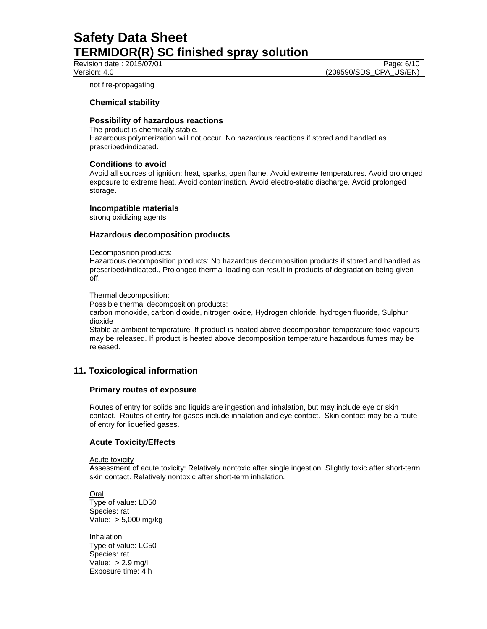Revision date : 2015/07/01 **Page: 6/10** Page: 6/10

Version: 4.0 (209590/SDS\_CPA\_US/EN)

not fire-propagating

#### **Chemical stability**

#### **Possibility of hazardous reactions**

The product is chemically stable. Hazardous polymerization will not occur. No hazardous reactions if stored and handled as prescribed/indicated.

#### **Conditions to avoid**

Avoid all sources of ignition: heat, sparks, open flame. Avoid extreme temperatures. Avoid prolonged exposure to extreme heat. Avoid contamination. Avoid electro-static discharge. Avoid prolonged storage.

#### **Incompatible materials**

strong oxidizing agents

#### **Hazardous decomposition products**

Decomposition products:

Hazardous decomposition products: No hazardous decomposition products if stored and handled as prescribed/indicated., Prolonged thermal loading can result in products of degradation being given off.

Thermal decomposition:

Possible thermal decomposition products:

carbon monoxide, carbon dioxide, nitrogen oxide, Hydrogen chloride, hydrogen fluoride, Sulphur dioxide

Stable at ambient temperature. If product is heated above decomposition temperature toxic vapours may be released. If product is heated above decomposition temperature hazardous fumes may be released.

## **11. Toxicological information**

#### **Primary routes of exposure**

Routes of entry for solids and liquids are ingestion and inhalation, but may include eye or skin contact. Routes of entry for gases include inhalation and eye contact. Skin contact may be a route of entry for liquefied gases.

### **Acute Toxicity/Effects**

Acute toxicity

Assessment of acute toxicity: Relatively nontoxic after single ingestion. Slightly toxic after short-term skin contact. Relatively nontoxic after short-term inhalation.

Oral Type of value: LD50 Species: rat Value: > 5,000 mg/kg

Inhalation Type of value: LC50 Species: rat Value: > 2.9 mg/l Exposure time: 4 h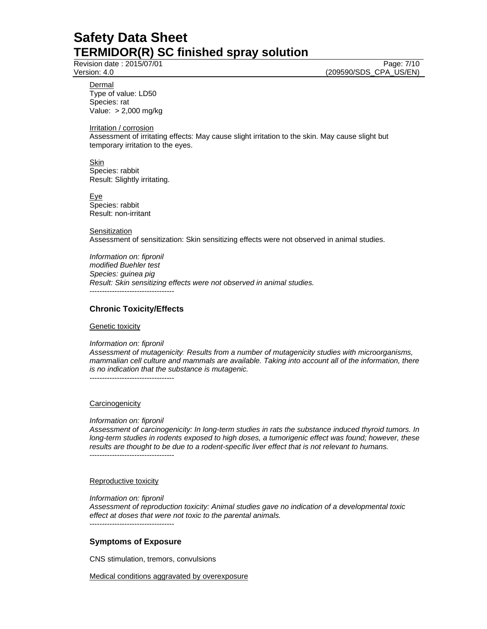Revision date : 2015/07/01 Page: 7/10

Version: 4.0 (209590/SDS\_CPA\_US/EN)

Dermal Type of value: LD50 Species: rat Value: > 2,000 mg/kg

Irritation / corrosion

Assessment of irritating effects: May cause slight irritation to the skin. May cause slight but temporary irritation to the eyes.

Skin Species: rabbit Result: Slightly irritating.

Eye Species: rabbit Result: non-irritant

**Sensitization** Assessment of sensitization: Skin sensitizing effects were not observed in animal studies.

*Information on: fipronil modified Buehler test Species: guinea pig Result: Skin sensitizing effects were not observed in animal studies.*  ----------------------------------

### **Chronic Toxicity/Effects**

#### **Genetic toxicity**

*Information on: fipronil* 

*Assessment of mutagenicity: Results from a number of mutagenicity studies with microorganisms, mammalian cell culture and mammals are available. Taking into account all of the information, there is no indication that the substance is mutagenic.*  ----------------------------------

#### **Carcinogenicity**

#### *Information on: fipronil*

*Assessment of carcinogenicity: In long-term studies in rats the substance induced thyroid tumors. In long-term studies in rodents exposed to high doses, a tumorigenic effect was found; however, these results are thought to be due to a rodent-specific liver effect that is not relevant to humans.*  ----------------------------------

Reproductive toxicity

*Information on: fipronil* 

*Assessment of reproduction toxicity: Animal studies gave no indication of a developmental toxic effect at doses that were not toxic to the parental animals.*  ----------------------------------

### **Symptoms of Exposure**

CNS stimulation, tremors, convulsions

Medical conditions aggravated by overexposure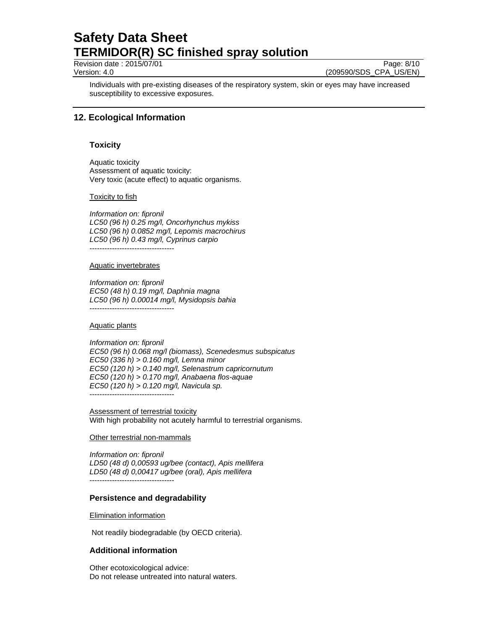Revision date : 2015/07/01 Page: 8/10

Version: 4.0 (209590/SDS\_CPA\_US/EN)

Individuals with pre-existing diseases of the respiratory system, skin or eyes may have increased susceptibility to excessive exposures.

## **12. Ecological Information**

## **Toxicity**

Aquatic toxicity Assessment of aquatic toxicity: Very toxic (acute effect) to aquatic organisms.

#### Toxicity to fish

*Information on: fipronil LC50 (96 h) 0.25 mg/l, Oncorhynchus mykiss LC50 (96 h) 0.0852 mg/l, Lepomis macrochirus LC50 (96 h) 0.43 mg/l, Cyprinus carpio*  ----------------------------------

#### Aquatic invertebrates

*Information on: fipronil EC50 (48 h) 0.19 mg/l, Daphnia magna LC50 (96 h) 0.00014 mg/l, Mysidopsis bahia*  ----------------------------------

Aquatic plants

*Information on: fipronil EC50 (96 h) 0.068 mg/l (biomass), Scenedesmus subspicatus EC50 (336 h) > 0.160 mg/l, Lemna minor EC50 (120 h) > 0.140 mg/l, Selenastrum capricornutum EC50 (120 h) > 0.170 mg/l, Anabaena flos-aquae EC50 (120 h) > 0.120 mg/l, Navicula sp.*  ----------------------------------

Assessment of terrestrial toxicity With high probability not acutely harmful to terrestrial organisms.

#### Other terrestrial non-mammals

*Information on: fipronil LD50 (48 d) 0,00593 ug/bee (contact), Apis mellifera LD50 (48 d) 0,00417 ug/bee (oral), Apis mellifera* 

----------------------------------

### **Persistence and degradability**

Elimination information

Not readily biodegradable (by OECD criteria).

### **Additional information**

Other ecotoxicological advice: Do not release untreated into natural waters.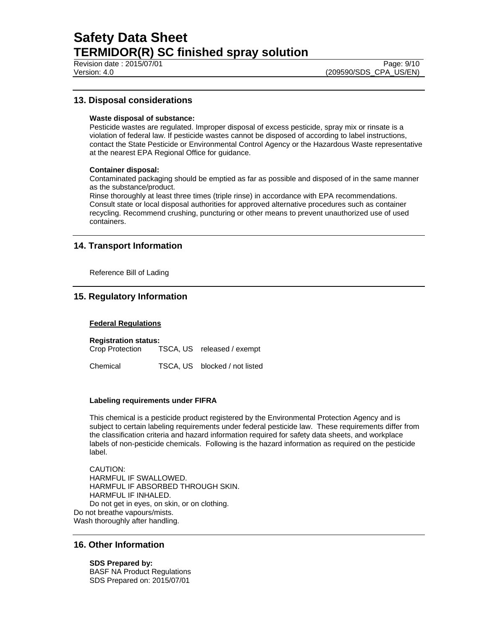Revision date : 2015/07/01 **Page: 9/10** Page: 9/10

## **13. Disposal considerations**

#### **Waste disposal of substance:**

Pesticide wastes are regulated. Improper disposal of excess pesticide, spray mix or rinsate is a violation of federal law. If pesticide wastes cannot be disposed of according to label instructions, contact the State Pesticide or Environmental Control Agency or the Hazardous Waste representative at the nearest EPA Regional Office for guidance.

#### **Container disposal:**

Contaminated packaging should be emptied as far as possible and disposed of in the same manner as the substance/product.

Rinse thoroughly at least three times (triple rinse) in accordance with EPA recommendations. Consult state or local disposal authorities for approved alternative procedures such as container recycling. Recommend crushing, puncturing or other means to prevent unauthorized use of used containers.

## **14. Transport Information**

Reference Bill of Lading

## **15. Regulatory Information**

#### **Federal Regulations**

**Registration status:**  TSCA, US released / exempt Chemical TSCA, US blocked / not listed

#### **Labeling requirements under FIFRA**

This chemical is a pesticide product registered by the Environmental Protection Agency and is subject to certain labeling requirements under federal pesticide law. These requirements differ from the classification criteria and hazard information required for safety data sheets, and workplace labels of non-pesticide chemicals. Following is the hazard information as required on the pesticide label.

CAUTION: HARMFUL IF SWALLOWED. HARMFUL IF ABSORBED THROUGH SKIN. HARMFUL IF INHALED. Do not get in eyes, on skin, or on clothing. Do not breathe vapours/mists. Wash thoroughly after handling.

### **16. Other Information**

**SDS Prepared by:**  BASF NA Product Regulations SDS Prepared on: 2015/07/01